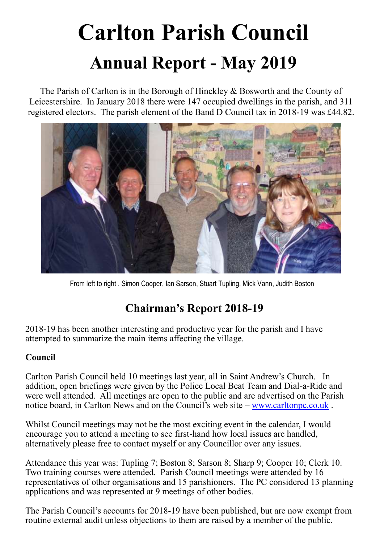# **Carlton Parish Council Annual Report - May 2019**

The Parish of Carlton is in the Borough of Hinckley & Bosworth and the County of Leicestershire. In January 2018 there were 147 occupied dwellings in the parish, and 311 registered electors. The parish element of the Band D Council tax in 2018-19 was £44.82.



From left to right , Simon Cooper, Ian Sarson, Stuart Tupling, Mick Vann, Judith Boston

## **Chairman's Report 2018-19**

2018-19 has been another interesting and productive year for the parish and I have attempted to summarize the main items affecting the village.

### **Council**

Carlton Parish Council held 10 meetings last year, all in Saint Andrew's Church. In addition, open briefings were given by the Police Local Beat Team and Dial-a-Ride and were well attended. All meetings are open to the public and are advertised on the Parish notice board, in Carlton News and on the Council's web site – [www.carltonpc.co.uk](http://www.carlton.co.uk/) .

Whilst Council meetings may not be the most exciting event in the calendar, I would encourage you to attend a meeting to see first-hand how local issues are handled, alternatively please free to contact myself or any Councillor over any issues.

Attendance this year was: Tupling 7; Boston 8; Sarson 8; Sharp 9; Cooper 10; Clerk 10. Two training courses were attended. Parish Council meetings were attended by 16 representatives of other organisations and 15 parishioners. The PC considered 13 planning applications and was represented at 9 meetings of other bodies.

The Parish Council's accounts for 2018-19 have been published, but are now exempt from routine external audit unless objections to them are raised by a member of the public.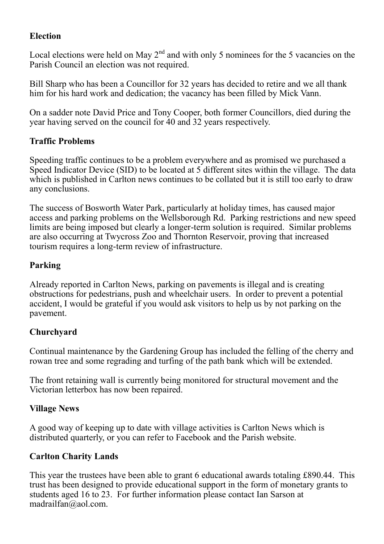#### **Election**

Local elections were held on May  $2<sup>nd</sup>$  and with only 5 nominees for the 5 vacancies on the Parish Council an election was not required.

Bill Sharp who has been a Councillor for 32 years has decided to retire and we all thank him for his hard work and dedication; the vacancy has been filled by Mick Vann.

On a sadder note David Price and Tony Cooper, both former Councillors, died during the year having served on the council for 40 and 32 years respectively.

#### **Traffic Problems**

Speeding traffic continues to be a problem everywhere and as promised we purchased a Speed Indicator Device (SID) to be located at 5 different sites within the village. The data which is published in Carlton news continues to be collated but it is still too early to draw any conclusions.

The success of Bosworth Water Park, particularly at holiday times, has caused major access and parking problems on the Wellsborough Rd. Parking restrictions and new speed limits are being imposed but clearly a longer-term solution is required. Similar problems are also occurring at Twycross Zoo and Thornton Reservoir, proving that increased tourism requires a long-term review of infrastructure.

#### **Parking**

Already reported in Carlton News, parking on pavements is illegal and is creating obstructions for pedestrians, push and wheelchair users. In order to prevent a potential accident, I would be grateful if you would ask visitors to help us by not parking on the pavement.

#### **Churchyard**

Continual maintenance by the Gardening Group has included the felling of the cherry and rowan tree and some regrading and turfing of the path bank which will be extended.

The front retaining wall is currently being monitored for structural movement and the Victorian letterbox has now been repaired.

#### **Village News**

A good way of keeping up to date with village activities is Carlton News which is distributed quarterly, or you can refer to Facebook and the Parish website.

#### **Carlton Charity Lands**

This year the trustees have been able to grant 6 educational awards totaling £890.44. This trust has been designed to provide educational support in the form of monetary grants to students aged 16 to 23. For further information please contact Ian Sarson at [madrailfan@aol.com.](mailto:madrailfan@aol.com)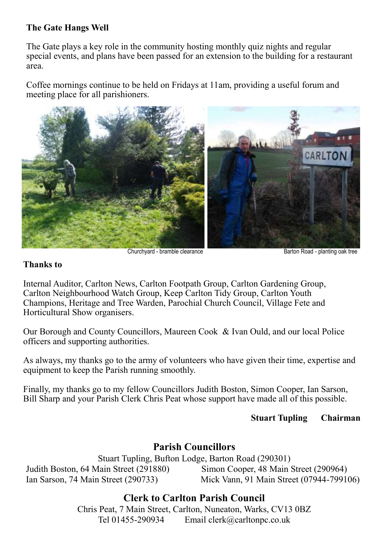#### **The Gate Hangs Well**

The Gate plays a key role in the community hosting monthly quiz nights and regular special events, and plans have been passed for an extension to the building for a restaurant area.

Coffee mornings continue to be held on Fridays at 11am, providing a useful forum and meeting place for all parishioners.



Churchyard - bramble clearance Barton Road - planting oak tree

#### **Thanks to**

Internal Auditor, Carlton News, Carlton Footpath Group, Carlton Gardening Group, Carlton Neighbourhood Watch Group, Keep Carlton Tidy Group, Carlton Youth Champions, Heritage and Tree Warden, Parochial Church Council, Village Fete and Horticultural Show organisers.

Our Borough and County Councillors, Maureen Cook & Ivan Ould, and our local Police officers and supporting authorities.

As always, my thanks go to the army of volunteers who have given their time, expertise and equipment to keep the Parish running smoothly.

Finally, my thanks go to my fellow Councillors Judith Boston, Simon Cooper, Ian Sarson, Bill Sharp and your Parish Clerk Chris Peat whose support have made all of this possible.

#### **Stuart Tupling Chairman**

### **Parish Councillors**

Stuart Tupling, Bufton Lodge, Barton Road (290301) Judith Boston, 64 Main Street (291880) Simon Cooper, 48 Main Street (290964) Ian Sarson, 74 Main Street (290733) Mick Vann, 91 Main Street (07944-799106)

### **Clerk to Carlton Parish Council**

Chris Peat, 7 Main Street, Carlton, Nuneaton, Warks, CV13 0BZ Tel 01455-290934 Email clerk@carltonpc.co.uk